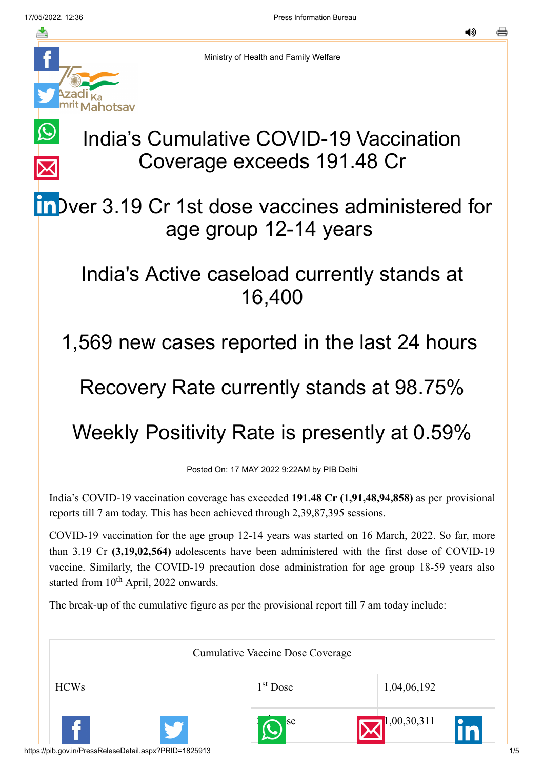*Aahotsav* 

亼

 $\bigcirc$ 

๔๑

Ministry of Health and Family Welfare

## India's Cumulative COVID-19 Vaccination Coverage exceeds 191.48 Cr

InDver 3.19 Cr 1st dose vaccines administered for age group 12-14 years

## India's Active caseload currently stands at 16,400

1,569 new cases reported in the last 24 hours

## Recovery Rate currently stands at 98.75%

## Weekly Positivity Rate is presently at 0.59%

Posted On: 17 MAY 2022 9:22AM by PIB Delhi

India's COVID-19 vaccination coverage has exceeded **191.48 Cr (1,91,48,94,858)** as per provisional reports till 7 am today. This has been achieved through 2,39,87,395 sessions.

COVID-19 vaccination for the age group 12-14 years was started on 16 March, 2022. So far, more than 3.19 Cr **(3,19,02,564)** adolescents have been administered with the first dose of COVID-19 vaccine. Similarly, the COVID-19 precaution dose administration for age group 18-59 years also started from 10<sup>th</sup> April, 2022 onwards.

The break-up of the cumulative figure as per the provisional report till 7 am today include:

| <b>Cumulative Vaccine Dose Coverage</b> |  |                      |             |  |
|-----------------------------------------|--|----------------------|-------------|--|
| <b>HCWs</b>                             |  | 1 <sup>st</sup> Dose | 1,04,06,192 |  |
|                                         |  | se                   | 1,00,30,311 |  |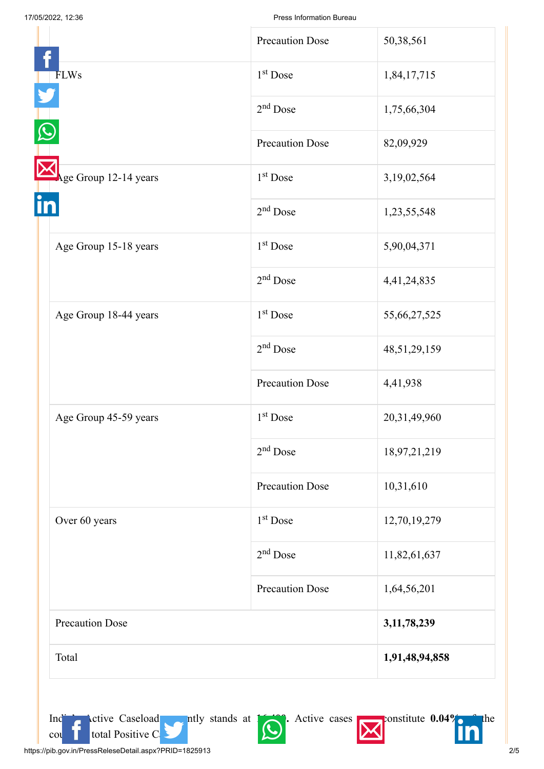|                        | <b>Precaution Dose</b> | 50,38,561    |
|------------------------|------------------------|--------------|
|                        |                        |              |
| <b>FLWs</b>            | 1 <sup>st</sup> Dose   | 1,84,17,715  |
|                        | $2nd$ Dose             | 1,75,66,304  |
|                        | <b>Precaution Dose</b> | 82,09,929    |
| Age Group 12-14 years  | 1 <sup>st</sup> Dose   | 3,19,02,564  |
|                        | $2nd$ Dose             | 1,23,55,548  |
| Age Group 15-18 years  | 1 <sup>st</sup> Dose   | 5,90,04,371  |
|                        | $2nd$ Dose             | 4,41,24,835  |
| Age Group 18-44 years  | 1 <sup>st</sup> Dose   | 55,66,27,525 |
|                        | $2nd$ Dose             | 48,51,29,159 |
|                        | <b>Precaution Dose</b> | 4,41,938     |
| Age Group 45-59 years  | $1st$ Dose             | 20,31,49,960 |
|                        | $2nd$ Dose             | 18,97,21,219 |
|                        | <b>Precaution Dose</b> | 10,31,610    |
| Over 60 years          | 1 <sup>st</sup> Dose   | 12,70,19,279 |
|                        | $2nd$ Dose             | 11,82,61,637 |
|                        | <b>Precaution Dose</b> | 1,64,56,201  |
| <b>Precaution Dose</b> | 3,11,78,239            |              |
| Total                  | 1,91,48,94,858         |              |



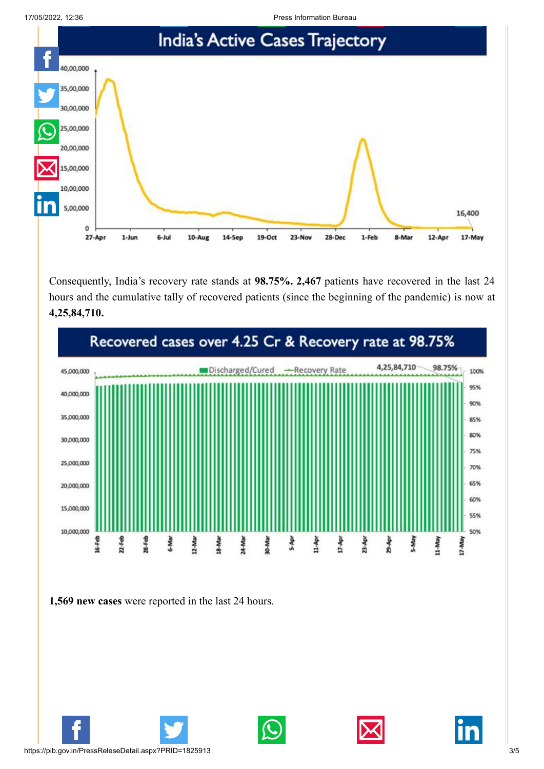17/05/2022, 12:36 Press Information Bureau



Consequently, India's recovery rate stands at **98.75%. 2,467** patients have recovered in the last 24 hours and the cumulative tally of recovered patients (since the beginning of the pandemic) is now at **4,25,84,710.**



**1,569 new cases** were reported in the last 24 hours.







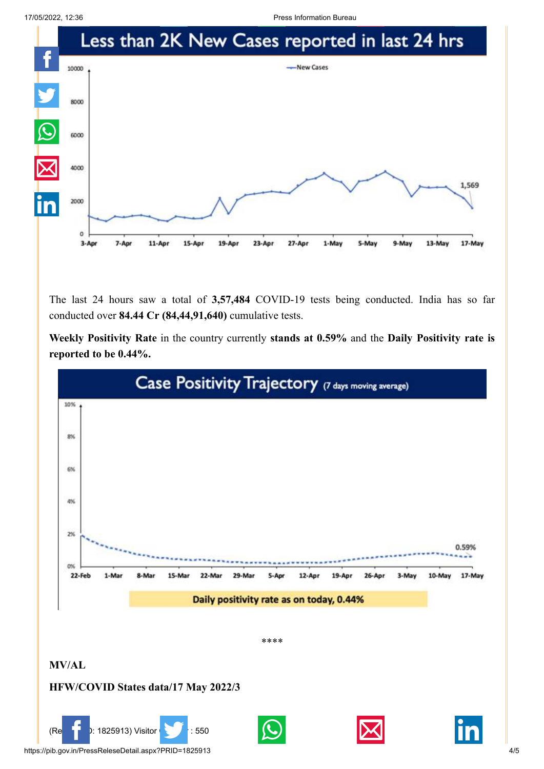17/05/2022, 12:36 Press Information Bureau



The last 24 hours saw a total of **3,57,484** COVID-19 tests being conducted. India has so far conducted over **84.44 Cr (84,44,91,640)** cumulative tests.

**Weekly Positivity Rate** in the country currently **stands at 0.59%** and the **Daily Positivity rate is reported to be 0.44%.**